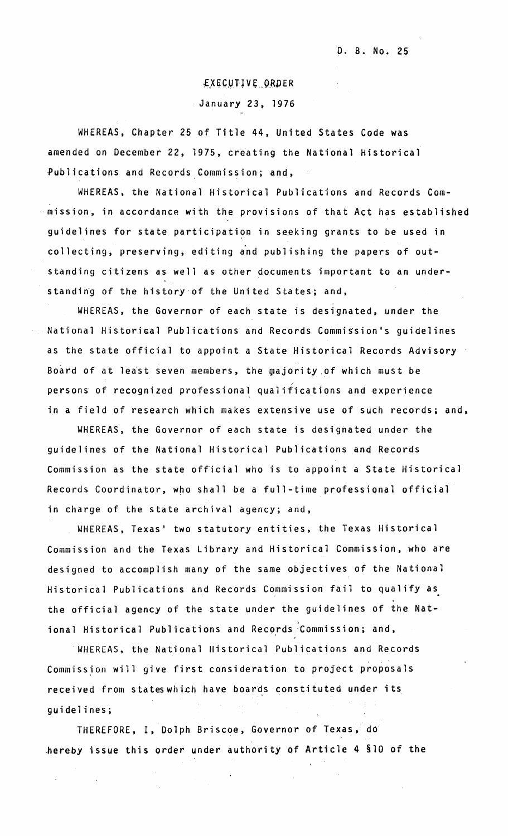## **EXECUTIVE ORDER** January 23, 1976

WHEREAS, Chapter 25 of Title 44, United States Code was amended on December 22, 1975, creating the National Historical Publications and Records Commission; and,

WHEREAS, the National Historical Publications and Records Commission, in accordance with the provisions of that Act has established guidelines for state participation in seeking grants to be used in collecting, preserving, editing and publishing the papers of outstanding citizens as well as other documents important to an understandin'g of the history'of the United States; and,

WHEREAS, the Governor of each state is designated, under the National Historical Publications and Records Commission's guidelines as the state official to appoint a State Historical Records Advisory Board of at least seven members, the majority of which must be persons of recognized professional qualifications and experience in a field of research which makes extensive use of such records; and,

WHEREAS, the Governor of each state is designated under the guidelines of the National Historical Publications and Records Commission as the state official who is to appoint a State Historical Records Coordinator, who shall be a full-time professional official in charge of the state archival agency; and,

WHEREAS, Texas' two statutory entities, the Texas Historical Commission and the Texas Library and Historical Commission, who are designed to accomplish many of the same objectives of the National Historical Publications and Records Commission fail to qualify as the official agency of the state under the guidelines of the National Historical Publications and Records Commission; and,

. WHEREAS, the National Historical Publications and Records Commission will give first consideration to project proposals received from states which have boards constituted under its guidelines;

THEREFORE, I, Dolph Briscoe, Governor of Texas, dO' ,hereby issue this order under authority of Article 4 §lO of the